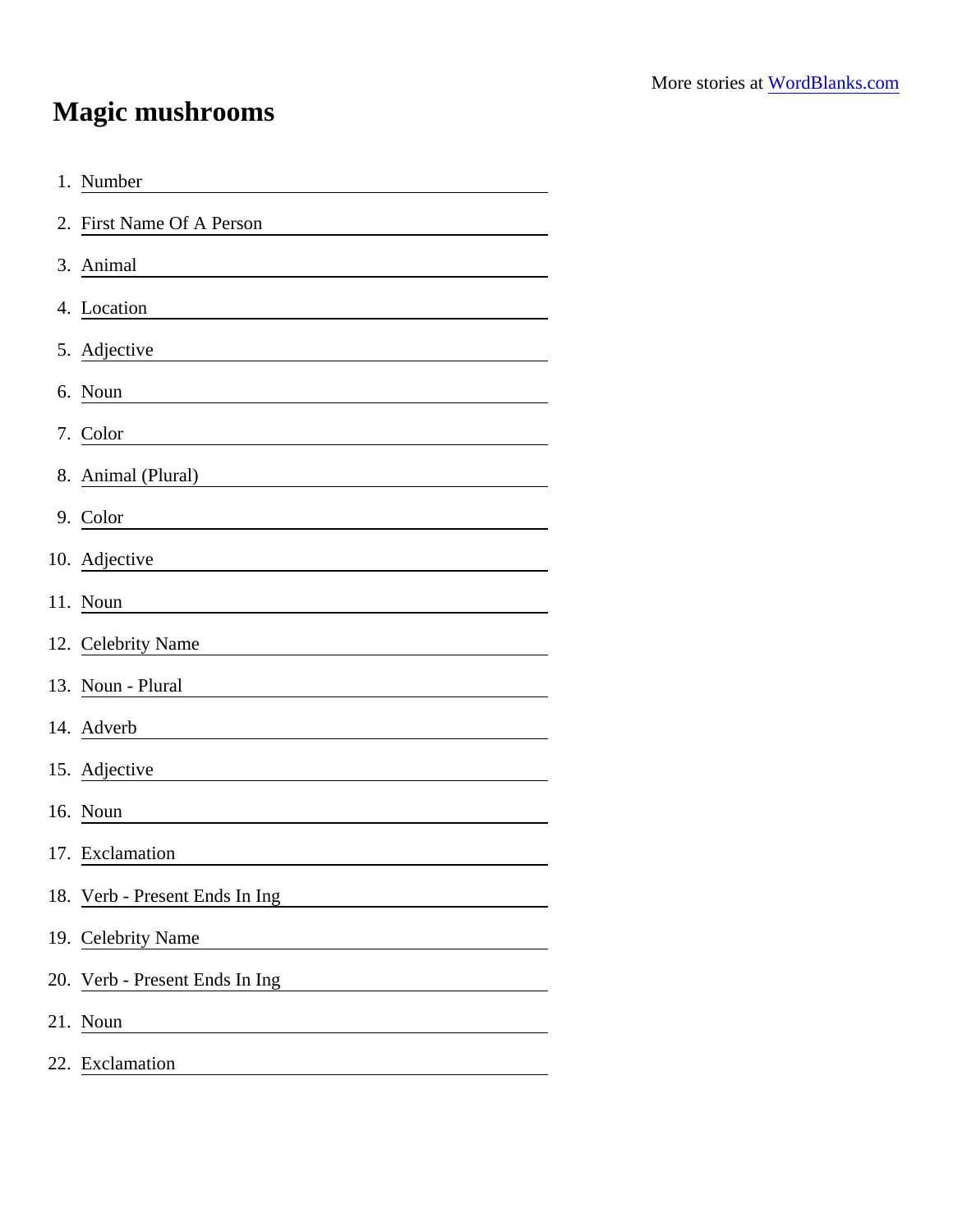## Magic mushrooms

| 1. Number                                                                                                                                               |
|---------------------------------------------------------------------------------------------------------------------------------------------------------|
| 2. First Name Of A Person                                                                                                                               |
| 3. Animal                                                                                                                                               |
| 4. Location                                                                                                                                             |
| 5. Adjective                                                                                                                                            |
| 6. Noun<br><u> 1980 - Johann Barbara, martxa alemaniar a</u>                                                                                            |
| 7. Color                                                                                                                                                |
| 8. Animal (Plural)<br><u> 1989 - Andrea State Barbara, político e a filosofono de la filosofono de la filosofono de la filosofono de l</u>              |
| 9. Color<br><u> 1989 - Johann Harry Barn, mars ar breist fan de Fryske kommunent (</u>                                                                  |
| 10. Adjective<br><u> 1989 - Johann Stoff, deutscher Stoffen und der Stoffen und der Stoffen und der Stoffen und der Stoffen und der</u>                 |
| 11. Noun                                                                                                                                                |
| 12. Celebrity Name                                                                                                                                      |
| 13. Noun - Plural                                                                                                                                       |
| 14. Adverb<br><u> 1980 - Andrea Station Barbara, amerikan personal (h. 1980).</u>                                                                       |
| 15. Adjective                                                                                                                                           |
| 16. Noun                                                                                                                                                |
| 17. Exclamation                                                                                                                                         |
| 18. Verb - Present Ends In Ing                                                                                                                          |
| 19. Celebrity Name                                                                                                                                      |
| 20. Verb - Present Ends In Ing<br><u> 1989 - John Stein, mars and de Branch and de Branch and de Branch and de Branch and de Branch and de Branch a</u> |
| 21. Noun                                                                                                                                                |
| 22. Exclamation                                                                                                                                         |